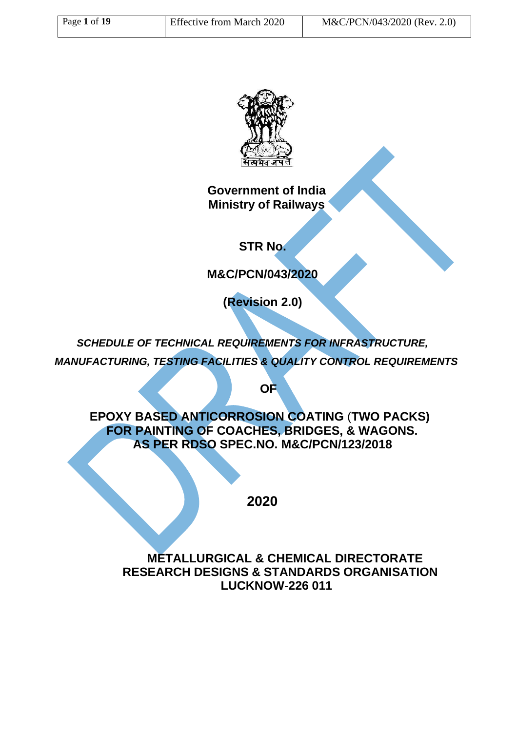

**Government of India Ministry of Railways**

**STR No.**

**M&C/PCN/043/2020**

**(Revision 2.0)**

*SCHEDULE OF TECHNICAL REQUIREMENTS FOR INFRASTRUCTURE, MANUFACTURING, TESTING FACILITIES & QUALITY CONTROL REQUIREMENTS*

**OF**

**EPOXY BASED ANTICORROSION COATING** (**TWO PACKS) FOR PAINTING OF COACHES, BRIDGES, & WAGONS. AS PER RDSO SPEC.NO. M&C/PCN/123/2018**

**2020**

**METALLURGICAL & CHEMICAL DIRECTORATE RESEARCH DESIGNS & STANDARDS ORGANISATION LUCKNOW-226 011**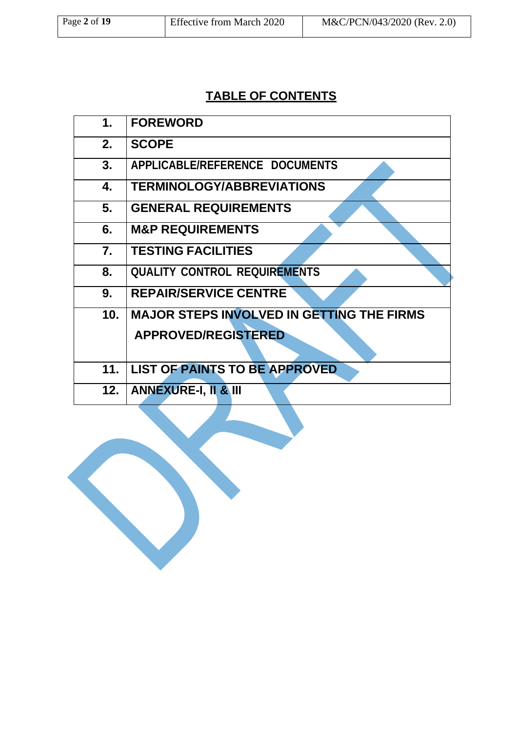# **TABLE OF CONTENTS**

| 1.              | <b>FOREWORD</b>                                  |
|-----------------|--------------------------------------------------|
| 2.              | <b>SCOPE</b>                                     |
| 3.              | APPLICABLE/REFERENCE DOCUMENTS                   |
| 4.              | <b>TERMINOLOGY/ABBREVIATIONS</b>                 |
| 5.              | <b>GENERAL REQUIREMENTS</b>                      |
| 6.              | <b>M&amp;P REQUIREMENTS</b>                      |
| $\mathbf{7}$ .  | <b>TESTING FACILITIES</b>                        |
| 8.              | <b>QUALITY CONTROL REQUIREMENTS</b>              |
| 9.              | <b>REPAIR/SERVICE CENTRE</b>                     |
| 10 <sub>1</sub> | <b>MAJOR STEPS INVOLVED IN GETTING THE FIRMS</b> |
|                 | <b>APPROVED/REGISTERED</b>                       |
|                 |                                                  |
| 11.             | <b>LIST OF PAINTS TO BE APPROVED</b>             |
|                 | 12.   ANNEXURE-I, II & III                       |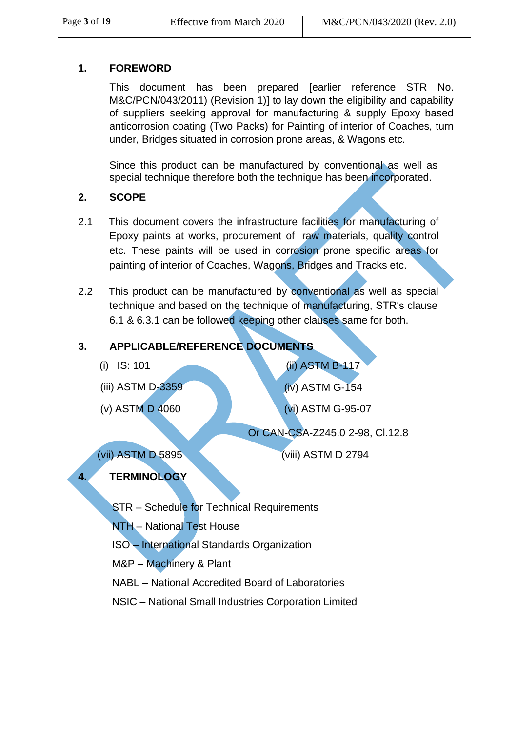### **1. FOREWORD**

This document has been prepared [earlier reference STR No. M&C/PCN/043/2011) (Revision 1)] to lay down the eligibility and capability of suppliers seeking approval for manufacturing & supply Epoxy based anticorrosion coating (Two Packs) for Painting of interior of Coaches, turn under, Bridges situated in corrosion prone areas, & Wagons etc.

Since this product can be manufactured by conventional as well as special technique therefore both the technique has been incorporated.

### **2. SCOPE**

- 2.1 This document covers the infrastructure facilities for manufacturing of Epoxy paints at works, procurement of raw materials, quality control etc. These paints will be used in corrosion prone specific areas for painting of interior of Coaches, Wagons, Bridges and Tracks etc.
- 2.2 This product can be manufactured by conventional as well as special technique and based on the technique of manufacturing, STR's clause 6.1 & 6.3.1 can be followed keeping other clauses same for both.

## **3. APPLICABLE/REFERENCE DOCUMENTS**

- 
- 
- 

(i) IS: 101 (ii) ASTM B-117 (iii) ASTM D-3359 (iv) ASTM G-154 (v) ASTM D 4060 (vi) ASTM G-95-07 Or CAN-CSA-Z245.0 2-98, Cl.12.8

## (vii) ASTM D 5895 (viii) ASTM D 2794

## **4. TERMINOLOGY**

STR – Schedule for Technical Requirements

NTH – National Test House

ISO – International Standards Organization

M&P – Machinery & Plant

NABL – National Accredited Board of Laboratories

NSIC – National Small Industries Corporation Limited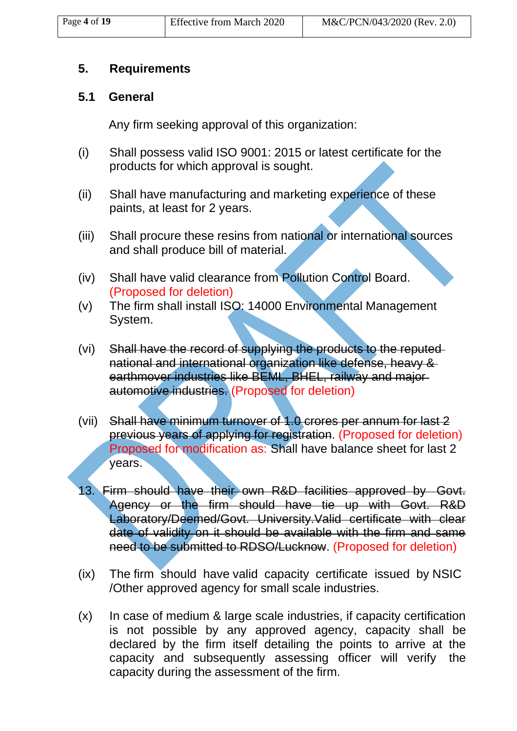## **5. Requirements**

## **5.1 General**

Any firm seeking approval of this organization:

- (i) Shall possess valid ISO 9001: 2015 or latest certificate for the products for which approval is sought.
- (ii) Shall have manufacturing and marketing experience of these paints, at least for 2 years.
- (iii) Shall procure these resins from national or international sources and shall produce bill of material.
- (iv) Shall have valid clearance from Pollution Control Board. (Proposed for deletion)
- (v) The firm shall install ISO: 14000 Environmental Management System.
- (vi) Shall have the record of supplying the products to the reputed national and international organization like defense, heavy & earthmover industries like BEML, BHEL, railway and majorautomotive industries. (Proposed for deletion)
- (vii) Shall have minimum turnover of 1.0 crores per annum for last 2 previous years of applying for registration. (Proposed for deletion) Proposed for modification as: Shall have balance sheet for last 2 years.
- 13. Firm should have their own R&D facilities approved by Govt. Agency or the firm should have tie up with Govt. R&D Laboratory/Deemed/Govt. University.Valid certificate with clear date of validity on it should be available with the firm and same need to be submitted to RDSO/Lucknow. (Proposed for deletion)
- (ix) The firm should have valid capacity certificate issued by NSIC /Other approved agency for small scale industries.
- (x) In case of medium & large scale industries, if capacity certification is not possible by any approved agency, capacity shall be declared by the firm itself detailing the points to arrive at the capacity and subsequently assessing officer will verify the capacity during the assessment of the firm.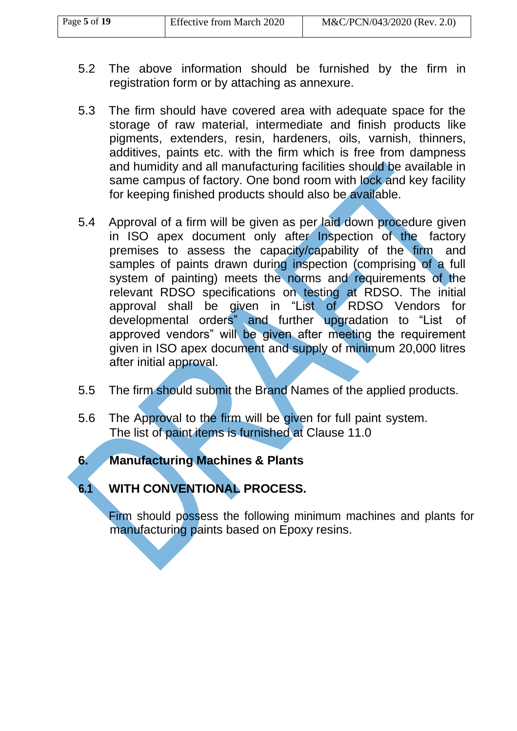- 5.2 The above information should be furnished by the firm in registration form or by attaching as annexure.
- 5.3 The firm should have covered area with adequate space for the storage of raw material, intermediate and finish products like pigments, extenders, resin, hardeners, oils, varnish, thinners, additives, paints etc. with the firm which is free from dampness and humidity and all manufacturing facilities should be available in same campus of factory. One bond room with lock and key facility for keeping finished products should also be available.
- 5.4 Approval of a firm will be given as per laid down procedure given in ISO apex document only after Inspection of the factory premises to assess the capacity/capability of the firm and samples of paints drawn during inspection (comprising of a full system of painting) meets the norms and requirements of the relevant RDSO specifications on testing at RDSO. The initial approval shall be given in "List of RDSO Vendors for developmental orders" and further upgradation to "List of approved vendors" will be given after meeting the requirement given in ISO apex document and supply of minimum 20,000 litres after initial approval.
- 5.5 The firm should submit the Brand Names of the applied products.
- 5.6 The Approval to the firm will be given for full paint system. The list of paint items is furnished at Clause 11.0
- **6. Manufacturing Machines & Plants**

## **6.1 WITH CONVENTIONAL PROCESS.**

Firm should possess the following minimum machines and plants for manufacturing paints based on Epoxy resins.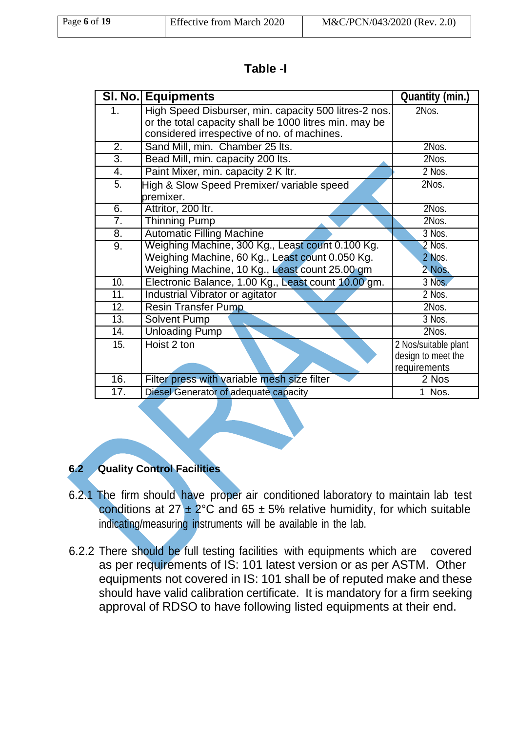| Page $6$ of $19$ | <b>Effective from March 2020</b> | M&C/PCN/043/2020 (Rev. 2.0) |
|------------------|----------------------------------|-----------------------------|

| Table<br>-1 |  |
|-------------|--|
|-------------|--|

|                   | <b>SI. No. Equipments</b>                              | <b>Quantity (min.)</b> |
|-------------------|--------------------------------------------------------|------------------------|
| 1 <sub>1</sub>    | High Speed Disburser, min. capacity 500 litres-2 nos.  | 2Nos.                  |
|                   | or the total capacity shall be 1000 litres min. may be |                        |
|                   | considered irrespective of no. of machines.            |                        |
| 2.                | Sand Mill, min. Chamber 25 lts.                        | 2Nos.                  |
| $\overline{3}$ .  | Bead Mill, min. capacity 200 lts.                      | 2Nos.                  |
| $\overline{4}$ .  | Paint Mixer, min. capacity 2 K ltr.                    | 2 Nos.                 |
| 5.                | High & Slow Speed Premixer/ variable speed             | 2Nos.                  |
|                   | premixer.                                              |                        |
| 6.                | Attritor, 200 ltr.                                     | 2Nos.                  |
| $\overline{7}$ .  | <b>Thinning Pump</b>                                   | 2Nos.                  |
| $\overline{8}$ .  | <b>Automatic Filling Machine</b>                       | 3 Nos.                 |
| 9.                | Weighing Machine, 300 Kg., Least count 0.100 Kg.       | $2$ Nos.               |
|                   | Weighing Machine, 60 Kg., Least count 0.050 Kg.        | 2 Nos.                 |
|                   | Weighing Machine, 10 Kg., Least count 25.00 gm         | 2 Nos.                 |
| 10.               | Electronic Balance, 1.00 Kg., Least count 10.00 gm.    | 3 Nos.                 |
| 11.               | Industrial Vibrator or agitator                        | 2 Nos.                 |
| 12.               | <b>Resin Transfer Pump</b>                             | 2Nos.                  |
| $\overline{13}$ . | Solvent Pump                                           | 3 Nos.                 |
| 14.               | <b>Unloading Pump</b>                                  | 2Nos.                  |
| 15.               | Hoist 2 ton                                            | 2 Nos/suitable plant   |
|                   |                                                        | design to meet the     |
|                   |                                                        | requirements           |
| 16.               | Filter press with variable mesh size filter            | 2 Nos                  |
| 17.               | Diesel Generator of adequate capacity                  | 1 Nos.                 |

### **6.2 Quality Control Facilities**

- 6.2.1 The firm should have proper air conditioned laboratory to maintain lab test conditions at  $27 \pm 2^{\circ}$ C and 65  $\pm$  5% relative humidity, for which suitable indicating/measuring instruments will be available in the lab.
- 6.2.2 There should be full testing facilities with equipments which are covered as per requirements of IS: 101 latest version or as per ASTM. Other equipments not covered in IS: 101 shall be of reputed make and these should have valid calibration certificate. It is mandatory for a firm seeking approval of RDSO to have following listed equipments at their end.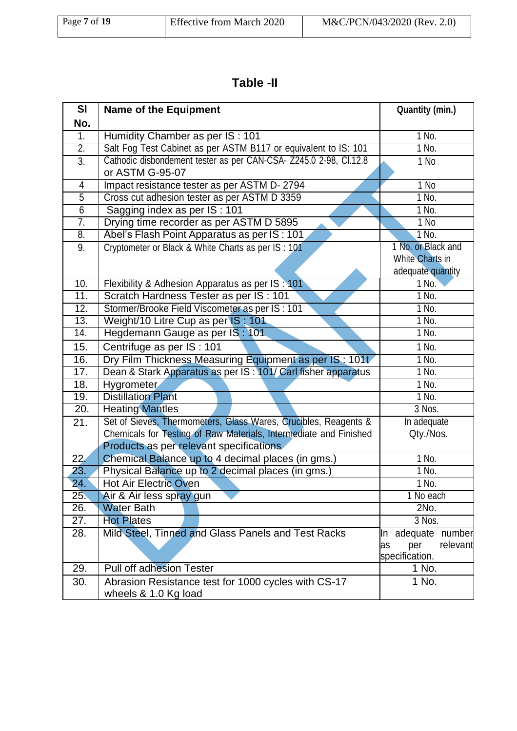| Page 7 of 19 | <b>Effective from March 2020</b> | M&C/PCN/043/2020 (Rev. 2.0) |
|--------------|----------------------------------|-----------------------------|

# **Table -II**

| SI                | <b>Name of the Equipment</b>                                      | <b>Quantity (min.)</b> |  |  |
|-------------------|-------------------------------------------------------------------|------------------------|--|--|
| No.               |                                                                   |                        |  |  |
| $\overline{1}$ .  | Humidity Chamber as per IS: 101                                   | 1 No.                  |  |  |
| $\overline{2}$ .  | Salt Fog Test Cabinet as per ASTM B117 or equivalent to IS: 101   | $1$ No.                |  |  |
| $\overline{3}$ .  | Cathodic disbondement tester as per CAN-CSA- Z245.0 2-98, Cl.12.8 | 1 No                   |  |  |
|                   | or ASTM G-95-07                                                   |                        |  |  |
| 4                 | Impact resistance tester as per ASTM D-2794                       | $1$ No                 |  |  |
| $\overline{5}$    | Cross cut adhesion tester as per ASTM D 3359                      | 1 No.                  |  |  |
| $\overline{6}$    | Sagging index as per IS : 101                                     | $1$ No.                |  |  |
| 7.                | Drying time recorder as per ASTM D 5895                           | $1$ No                 |  |  |
| 8.                | Abel's Flash Point Apparatus as per IS : 101                      | 1 No.                  |  |  |
| 9.                | Cryptometer or Black & White Charts as per IS : 101               | 1 No. or Black and     |  |  |
|                   |                                                                   | <b>White Charts in</b> |  |  |
|                   |                                                                   | adequate quantity      |  |  |
| 10.               | Flexibility & Adhesion Apparatus as per IS: 101                   | 1 No.                  |  |  |
| 11.               | Scratch Hardness Tester as per IS : 101                           | 1 No.                  |  |  |
| 12.               | Stormer/Brooke Field Viscometer as per IS : 101                   | $1$ No.                |  |  |
| 13.               | Weight/10 Litre Cup as per IS: 101                                | 1 No.                  |  |  |
| $\overline{14}$ . | Hegdemann Gauge as per IS: 101                                    | 1 No.                  |  |  |
| 15.               | Centrifuge as per IS: 101                                         | 1 No.                  |  |  |
| 16.               | Dry Film Thickness Measuring Equipment as per IS: 101t            | 1 No.                  |  |  |
| 17.               | Dean & Stark Apparatus as per IS: 101/ Carl fisher apparatus      | $1$ No.                |  |  |
| 18.               | <b>Hygrometer</b>                                                 | 1 No.                  |  |  |
| 19.               | <b>Distillation Plant</b>                                         | 1 No.                  |  |  |
| $\overline{20}$ . | <b>Heating Mantles</b>                                            | 3 Nos.                 |  |  |
| 21.               | Set of Sieves, Thermometers, Glass Wares, Crucibles, Reagents &   | In adequate            |  |  |
|                   | Chemicals for Testing of Raw Materials, Intermediate and Finished | Qty./Nos.              |  |  |
|                   | Products as per relevant specifications                           |                        |  |  |
| 22.               | Chemical Balance up to 4 decimal places (in gms.)                 | 1 No.                  |  |  |
| 23.               | Physical Balance up to 2 decimal places (in gms.)                 | $1$ No.                |  |  |
| $\overline{24}$ . | <b>Hot Air Electric Oven</b>                                      | 1 No.                  |  |  |
| 25.               | Air & Air less spray gun                                          | 1 No each              |  |  |
| 26.               | <b>Water Bath</b>                                                 | 2No.                   |  |  |
| 27.               | <b>Hot Plates</b>                                                 | 3 Nos.                 |  |  |
| 28.               | Mild Steel, Tinned and Glass Panels and Test Racks                | In adequate number     |  |  |
|                   |                                                                   | relevant<br>per<br>as  |  |  |
|                   |                                                                   | specification.         |  |  |
| 29.               | <b>Pull off adhesion Tester</b>                                   | 1 No.                  |  |  |
| 30.               | Abrasion Resistance test for 1000 cycles with CS-17               | 1 No.                  |  |  |
|                   | wheels & 1.0 Kg load                                              |                        |  |  |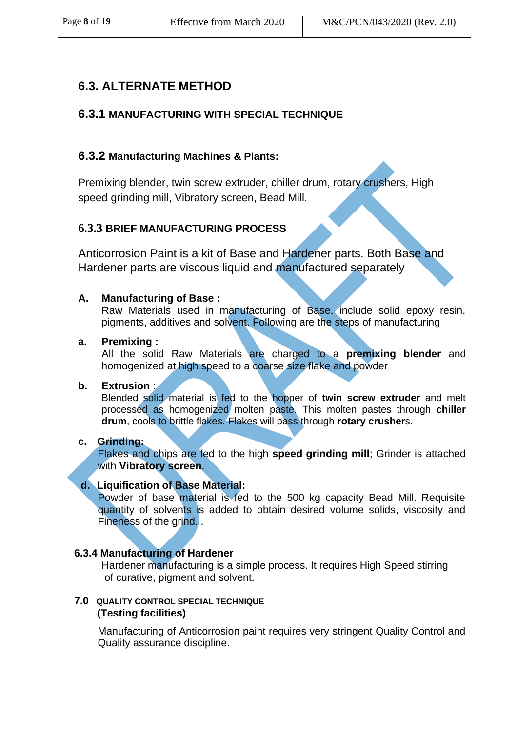## **6.3. ALTERNATE METHOD**

### **6.3.1 MANUFACTURING WITH SPECIAL TECHNIQUE**

### **6.3.2 Manufacturing Machines & Plants:**

Premixing blender, twin screw extruder, chiller drum, rotary crushers, High speed grinding mill, Vibratory screen, Bead Mill.

## **6.3.3 BRIEF MANUFACTURING PROCESS**

Anticorrosion Paint is a kit of Base and Hardener parts. Both Base and Hardener parts are viscous liquid and manufactured separately

#### **A. Manufacturing of Base :**

Raw Materials used in manufacturing of Base, include solid epoxy resin, pigments, additives and solvent. Following are the steps of manufacturing

#### **a. Premixing :**

All the solid Raw Materials are charged to a **premixing blender** and homogenized at high speed to a coarse size flake and powder

### **b. Extrusion :**

Blended solid material is fed to the hopper of **twin screw extruder** and melt processed as homogenized molten paste. This molten pastes through **chiller drum**, cools to brittle flakes. Flakes will pass through **rotary crusher**s.

#### **c. Grinding:**

Flakes and chips are fed to the high **speed grinding mill**; Grinder is attached with **Vibratory screen**.

#### **d. Liquification of Base Material:**

Powder of base material is fed to the 500 kg capacity Bead Mill. Requisite quantity of solvents is added to obtain desired volume solids, viscosity and Fineness of the grind. .

#### **6.3.4 Manufacturing of Hardener**

Hardener manufacturing is a simple process. It requires High Speed stirring of curative, pigment and solvent.

#### **7.0 QUALITY CONTROL SPECIAL TECHNIQUE (Testing facilities)**

Manufacturing of Anticorrosion paint requires very stringent Quality Control and Quality assurance discipline.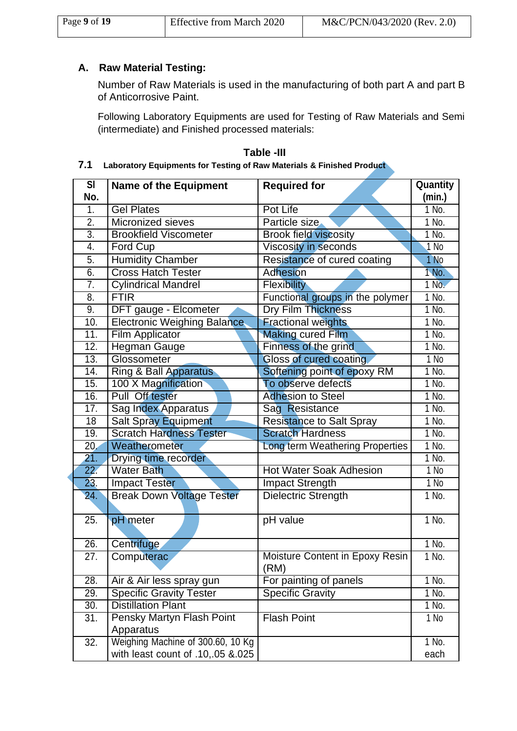| Page 9 of 19 | Effective from March 2020 | M&C/PCN/043/2020 (Rev. 2.0) |
|--------------|---------------------------|-----------------------------|

### **A. Raw Material Testing:**

Number of Raw Materials is used in the manufacturing of both part A and part B of Anticorrosive Paint.

Following Laboratory Equipments are used for Testing of Raw Materials and Semi (intermediate) and Finished processed materials:

#### **Table -III 7.1 Laboratory Equipments for Testing of Raw Materials & Finished Product**

| $\overline{\mathsf{SI}}$ | <b>Name of the Equipment</b>                  | <b>Required for</b>                     | Quantity |  |
|--------------------------|-----------------------------------------------|-----------------------------------------|----------|--|
| No.                      |                                               |                                         | (min.)   |  |
| $\overline{1}$ .         | <b>Gel Plates</b>                             | Pot Life                                | 1 No.    |  |
| $\overline{2}$ .         | <b>Micronized sieves</b>                      | Particle size                           | $1$ No.  |  |
| $\overline{3}$ .         | <b>Brookfield Viscometer</b>                  | <b>Brook field viscosity</b>            | 1 No.    |  |
| 4.                       | <b>Ford Cup</b>                               | Viscosity in seconds                    | $1$ No   |  |
| 5.                       | <b>Humidity Chamber</b>                       | Resistance of cured coating             | 1 No     |  |
| 6.                       | <b>Cross Hatch Tester</b>                     | <b>Adhesion</b>                         | 1 No.    |  |
| 7.                       | <b>Cylindrical Mandrel</b>                    | <b>Flexibility</b>                      | $1$ No.  |  |
| $\overline{8}$           | <b>FTIR</b>                                   | Functional groups in the polymer        | 1 No.    |  |
| 9.                       | DFT gauge - Elcometer                         | <b>Dry Film Thickness</b>               | $1$ No.  |  |
| 10.                      | <b>Electronic Weighing Balance</b>            | <b>Fractional weights</b>               | $1$ No.  |  |
| 11.                      | <b>Film Applicator</b>                        | <b>Making cured Film</b>                | 1 No.    |  |
| $\overline{12}$ .        | <b>Hegman Gauge</b>                           | Finness of the grind                    | 1 No.    |  |
| 13.                      | Glossometer                                   | Gloss of cured coating                  | $1$ No   |  |
| 14.                      | <b>Ring &amp; Ball Apparatus</b>              | Softening point of epoxy RM             | $1$ No.  |  |
| 15.                      | 100 X Magnification                           | To observe defects                      | $1$ No.  |  |
| 16.                      | Pull Off tester                               | <b>Adhesion to Steel</b>                | 1 No.    |  |
| 17.                      | <b>Sag Index Apparatus</b>                    | Sag Resistance                          | $1$ No.  |  |
| 18                       | <b>Salt Spray Equipment</b>                   | <b>Resistance to Salt Spray</b>         | 1 No.    |  |
| 19.                      | <b>Scratch Hardness Tester</b>                | <b>Scratch Hardness</b>                 | $1$ No.  |  |
| 20.                      | Weatherometer                                 | Long term Weathering Properties         | 1 No.    |  |
| 21.                      | Drying time recorder                          |                                         | 1 No.    |  |
| $\overline{22}$ .        | <b>Water Bath</b>                             | <b>Hot Water Soak Adhesion</b>          | $1$ No   |  |
| 23.                      | <b>Impact Tester</b>                          | <b>Impact Strength</b>                  | $1$ No   |  |
| 24.                      | <b>Break Down Voltage Tester</b>              | Dielectric Strength                     | 1 No.    |  |
| 25.                      | pH meter                                      | pH value                                | 1 No.    |  |
| 26.                      | Centrifuge                                    |                                         | 1 No.    |  |
| 27.                      | Computerac                                    | Moisture Content in Epoxy Resin<br>(RM) | 1 No.    |  |
| $\overline{28}$ .        | Air & Air less spray gun                      | For painting of panels                  | 1 No.    |  |
| 29.                      | <b>Specific Gravity Tester</b>                | <b>Specific Gravity</b>                 | 1 No.    |  |
| 30.                      | <b>Distillation Plant</b>                     |                                         | 1 No.    |  |
| 31.                      | <b>Pensky Martyn Flash Point</b><br>Apparatus | <b>Flash Point</b>                      | 1 No     |  |
| 32.                      | Weighing Machine of 300.60, 10 Kg             |                                         | 1 No.    |  |
|                          | with least count of .10,.05 &.025             |                                         | each     |  |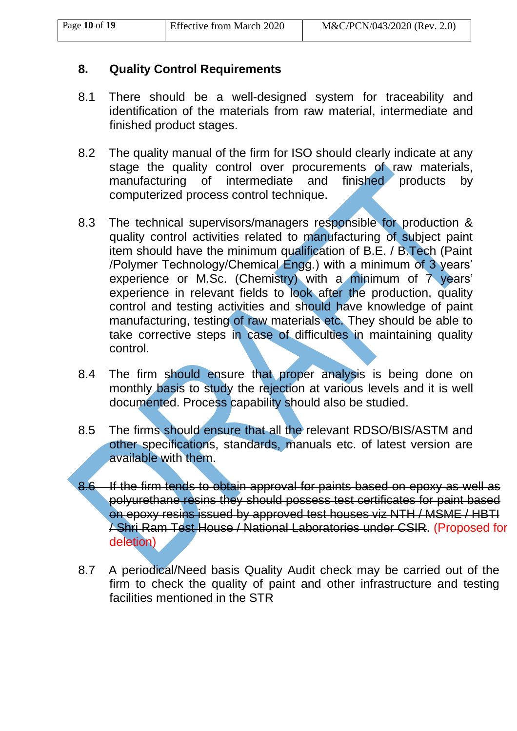## **8. Quality Control Requirements**

- 8.1 There should be a well-designed system for traceability and identification of the materials from raw material, intermediate and finished product stages.
- 8.2 The quality manual of the firm for ISO should clearly indicate at any stage the quality control over procurements of raw materials, manufacturing of intermediate and finished products by computerized process control technique.
- 8.3 The technical supervisors/managers responsible for production & quality control activities related to manufacturing of subject paint item should have the minimum qualification of B.E. / B.Tech (Paint /Polymer Technology/Chemical Engg.) with a minimum of 3 years' experience or M.Sc. (Chemistry) with a minimum of 7 years' experience in relevant fields to look after the production, quality control and testing activities and should have knowledge of paint manufacturing, testing of raw materials etc. They should be able to take corrective steps in case of difficulties in maintaining quality control.
- 8.4 The firm should ensure that proper analysis is being done on monthly basis to study the rejection at various levels and it is well documented. Process capability should also be studied.
- 8.5 The firms should ensure that all the relevant RDSO/BIS/ASTM and other specifications, standards, manuals etc. of latest version are available with them.
- 8.6 If the firm tends to obtain approval for paints based on epoxy as well as polyurethane resins they should possess test certificates for paint based on epoxy resins issued by approved test houses viz NTH / MSME / HBTI / Shri Ram Test House / National Laboratories under CSIR. (Proposed for deletion)
- 8.7 A periodical/Need basis Quality Audit check may be carried out of the firm to check the quality of paint and other infrastructure and testing facilities mentioned in the STR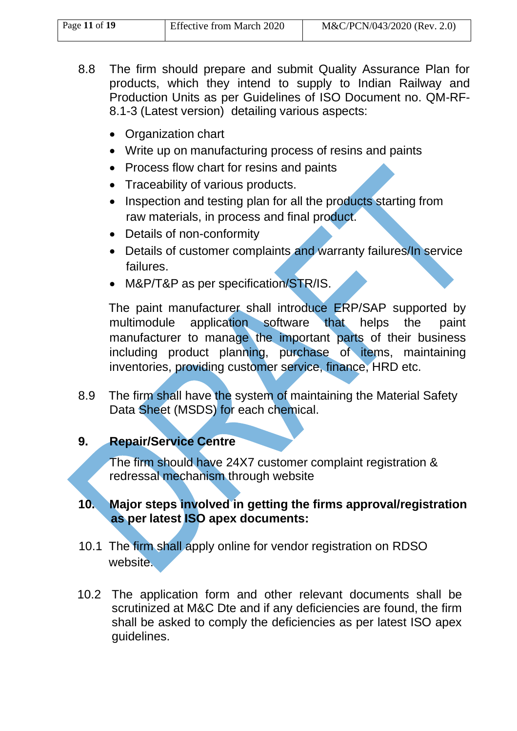| Page 11 of 19 | <b>Effective from March 2020</b> | M&C/PCN/043/2020 (Rev. 2.0) |
|---------------|----------------------------------|-----------------------------|

- 8.8 The firm should prepare and submit Quality Assurance Plan for products, which they intend to supply to Indian Railway and Production Units as per Guidelines of ISO Document no. QM-RF-8.1-3 (Latest version) detailing various aspects:
	- Organization chart
	- Write up on manufacturing process of resins and paints
	- Process flow chart for resins and paints
	- Traceability of various products.
	- Inspection and testing plan for all the products starting from raw materials, in process and final product.
	- Details of non-conformity
	- Details of customer complaints and warranty failures/In service failures.
	- M&P/T&P as per specification/STR/IS.

The paint manufacturer shall introduce ERP/SAP supported by multimodule application software that helps the paint manufacturer to manage the important parts of their business including product planning, purchase of items, maintaining inventories, providing customer service, finance, HRD etc.

8.9 The firm shall have the system of maintaining the Material Safety Data Sheet (MSDS) for each chemical.

## **9. Repair/Service Centre**

The firm should have 24X7 customer complaint registration & redressal mechanism through website

## **10. Major steps involved in getting the firms approval/registration as per latest ISO apex documents:**

- 10.1 The firm shall apply online for vendor registration on RDSO website.
- 10.2 The application form and other relevant documents shall be scrutinized at M&C Dte and if any deficiencies are found, the firm shall be asked to comply the deficiencies as per latest ISO apex guidelines.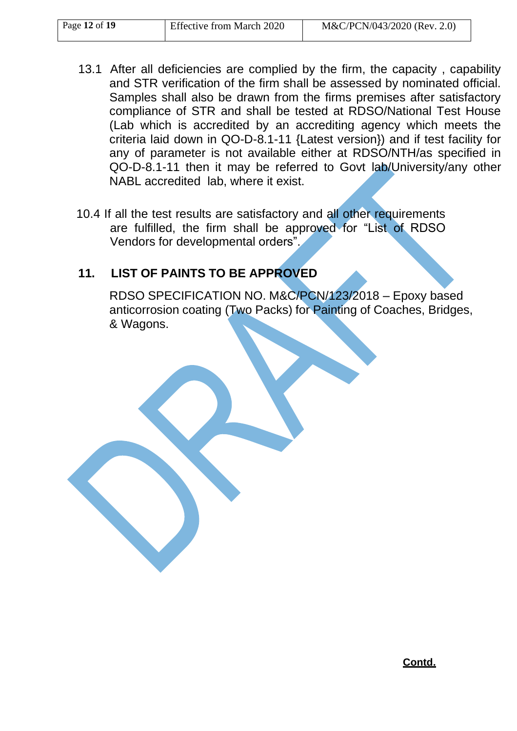| Page 12 of 19 | <b>Effective from March 2020</b> | M&C/PCN/043/2020 (Rev. 2.0) |
|---------------|----------------------------------|-----------------------------|
|---------------|----------------------------------|-----------------------------|

- 13.1 After all deficiencies are complied by the firm, the capacity , capability and STR verification of the firm shall be assessed by nominated official. Samples shall also be drawn from the firms premises after satisfactory compliance of STR and shall be tested at RDSO/National Test House (Lab which is accredited by an accrediting agency which meets the criteria laid down in QO-D-8.1-11 {Latest version}) and if test facility for any of parameter is not available either at RDSO/NTH/as specified in QO-D-8.1-11 then it may be referred to Govt lab/University/any other NABL accredited lab, where it exist.
- 10.4 If all the test results are satisfactory and all other requirements are fulfilled, the firm shall be approved for "List of RDSO Vendors for developmental orders".

## **11. LIST OF PAINTS TO BE APPROVED**

RDSO SPECIFICATION NO. M&C/PCN/123/2018 – Epoxy based anticorrosion coating (Two Packs) for Painting of Coaches, Bridges, & Wagons.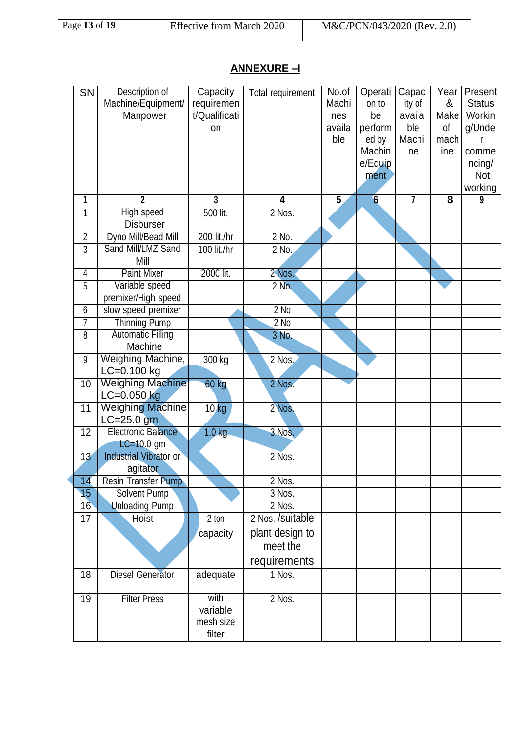# **ANNEXURE –I**

| SN | Description of<br>Machine/Equipment/       | Capacity                    | Total requirement | No.of<br>Machi | Operati<br>on to | Capac<br>ity of | Year<br>&               | Present<br><b>Status</b> |
|----|--------------------------------------------|-----------------------------|-------------------|----------------|------------------|-----------------|-------------------------|--------------------------|
|    | Manpower                                   | requiremen<br>t/Qualificati |                   |                | be               | availa          | Make                    | Workin                   |
|    |                                            | on                          |                   | nes<br>availa  |                  | ble             | of                      | g/Unde                   |
|    |                                            |                             |                   | ble            | perform<br>ed by | Machi           | mach                    |                          |
|    |                                            |                             |                   |                | Machin           | ne              | ine                     | comme                    |
|    |                                            |                             |                   |                | e/Equip          |                 |                         | ncing/                   |
|    |                                            |                             |                   |                | ment             |                 |                         | <b>Not</b>               |
|    |                                            |                             |                   |                |                  |                 |                         | working                  |
| 1  | $\overline{2}$                             | $\overline{3}$              | 4                 | $\overline{5}$ | 6                | $\overline{7}$  | $\overline{\mathbf{8}}$ | $\overline{9}$           |
| 1  | <b>High speed</b>                          | 500 lit.                    | 2 Nos.            |                |                  |                 |                         |                          |
|    | <b>Disburser</b>                           |                             |                   |                |                  |                 |                         |                          |
| 2  | Dyno Mill/Bead Mill                        | 200 lit./hr                 | $2$ No.           |                |                  |                 |                         |                          |
| 3  | Sand Mill/LMZ Sand                         | 100 lit./hr                 | 2 No.             |                |                  |                 |                         |                          |
|    | Mill                                       |                             |                   |                |                  |                 |                         |                          |
| 4  | <b>Paint Mixer</b>                         | 2000 lit.                   | 2 Nos.            |                |                  |                 |                         |                          |
| 5  | Variable speed                             |                             | 2 No.             |                |                  |                 |                         |                          |
|    | premixer/High speed                        |                             |                   |                |                  |                 |                         |                          |
| 6  | slow speed premixer                        |                             | $2$ No            |                |                  |                 |                         |                          |
| 7  | <b>Thinning Pump</b>                       |                             | $2$ No            |                |                  |                 |                         |                          |
| 8  | <b>Automatic Filling</b>                   |                             | 3 No.             |                |                  |                 |                         |                          |
|    | Machine                                    |                             |                   |                |                  |                 |                         |                          |
| 9  | Weighing Machine,                          | 300 kg                      | 2 Nos.            |                |                  |                 |                         |                          |
|    | LC=0.100 kg                                |                             |                   |                |                  |                 |                         |                          |
| 10 | <b>Weighing Machine</b><br>$LC = 0.050$ kg | 60 kg                       | 2 Nos.            |                |                  |                 |                         |                          |
| 11 | <b>Weighing Machine</b>                    |                             | 2 Nos.            |                |                  |                 |                         |                          |
|    | $LC = 25.0$ gm                             | $10$ kg                     |                   |                |                  |                 |                         |                          |
| 12 | <b>Electronic Balance</b>                  | 1.0 <sub>kg</sub>           | 3 Nos.            |                |                  |                 |                         |                          |
|    | $LC=10.0$ gm                               |                             |                   |                |                  |                 |                         |                          |
| 13 | Industrial Vibrator or                     |                             | 2 Nos.            |                |                  |                 |                         |                          |
|    | agitator                                   |                             |                   |                |                  |                 |                         |                          |
| 14 | Resin Transfer Pump                        |                             | 2 Nos.            |                |                  |                 |                         |                          |
| 15 | Solvent Pump                               |                             | 3 Nos.            |                |                  |                 |                         |                          |
| 16 | <b>Unloading Pump</b>                      |                             | 2 Nos.            |                |                  |                 |                         |                          |
| 17 | Hoist                                      | $2$ ton                     | 2 Nos. /suitable  |                |                  |                 |                         |                          |
|    |                                            | capacity                    | plant design to   |                |                  |                 |                         |                          |
|    |                                            |                             | meet the          |                |                  |                 |                         |                          |
|    |                                            |                             |                   |                |                  |                 |                         |                          |
|    |                                            |                             | requirements      |                |                  |                 |                         |                          |
| 18 | <b>Diesel Generator</b>                    | adequate                    | 1 Nos.            |                |                  |                 |                         |                          |
| 19 | <b>Filter Press</b>                        | with                        | 2 Nos.            |                |                  |                 |                         |                          |
|    |                                            | variable                    |                   |                |                  |                 |                         |                          |
|    |                                            | mesh size                   |                   |                |                  |                 |                         |                          |
|    |                                            | filter                      |                   |                |                  |                 |                         |                          |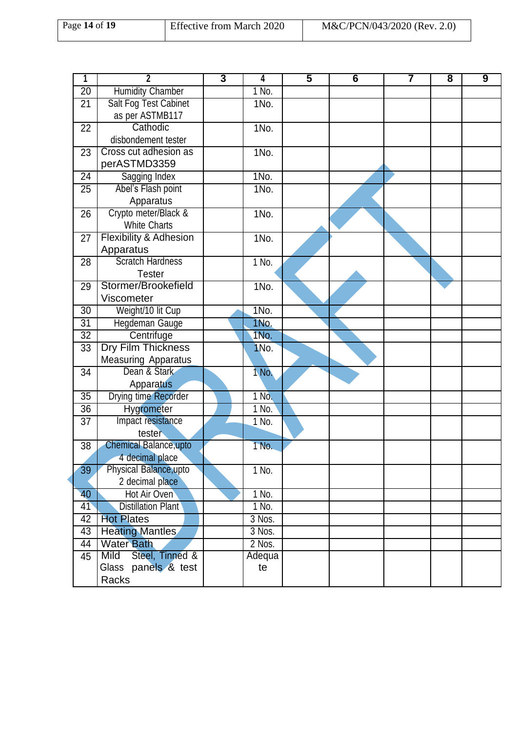| Page 14 of 19 | Effective from March 2020 | M&C/PCN/043/2020 (Rev. 2.0) |
|---------------|---------------------------|-----------------------------|
|               |                           |                             |

| 1                     | $\mathbf{2}$                           | $\overline{\mathbf{3}}$ | 4       | $\overline{\mathbf{5}}$ | 6 | $\overline{7}$ | 8 | 9 |
|-----------------------|----------------------------------------|-------------------------|---------|-------------------------|---|----------------|---|---|
| $\overline{20}$       | <b>Humidity Chamber</b>                |                         | $1$ No. |                         |   |                |   |   |
| 21                    | <b>Salt Fog Test Cabinet</b>           |                         | 1No.    |                         |   |                |   |   |
|                       | as per ASTMB117                        |                         |         |                         |   |                |   |   |
| 22                    | Cathodic                               |                         | 1No.    |                         |   |                |   |   |
|                       | disbondement tester                    |                         |         |                         |   |                |   |   |
| 23                    | Cross cut adhesion as                  |                         | 1No.    |                         |   |                |   |   |
|                       | perASTMD3359                           |                         |         |                         |   |                |   |   |
| $\overline{24}$       | <b>Sagging Index</b>                   |                         | $1N0$ . |                         |   |                |   |   |
| 25                    | Abel's Flash point                     |                         | 1No.    |                         |   |                |   |   |
|                       | Apparatus                              |                         |         |                         |   |                |   |   |
| 26                    | Crypto meter/Black &                   |                         | 1No.    |                         |   |                |   |   |
|                       | <b>White Charts</b>                    |                         |         |                         |   |                |   |   |
| 27                    | <b>Flexibility &amp; Adhesion</b>      |                         | 1No.    |                         |   |                |   |   |
|                       | Apparatus                              |                         |         |                         |   |                |   |   |
| 28                    | <b>Scratch Hardness</b>                |                         | 1 No.   |                         |   |                |   |   |
|                       | <b>Tester</b>                          |                         |         |                         |   |                |   |   |
| 29                    | Stormer/Brookefield                    |                         | 1No.    |                         |   |                |   |   |
|                       | Viscometer                             |                         |         |                         |   |                |   |   |
| 30                    | Weight/10 lit Cup                      |                         | 1No.    |                         |   |                |   |   |
| 31                    | Hegdeman Gauge                         |                         | 1No.    |                         |   |                |   |   |
| $\overline{32}$       | Centrifuge                             |                         | 1No.    |                         |   |                |   |   |
| 33                    | <b>Dry Film Thickness</b>              |                         | 1No.    |                         |   |                |   |   |
|                       | <b>Measuring Apparatus</b>             |                         |         |                         |   |                |   |   |
| 34                    | Dean & Stark                           |                         | 1 No.   |                         |   |                |   |   |
|                       | Apparatus                              |                         |         |                         |   |                |   |   |
| 35                    | Drying time Recorder                   |                         | 1 No.   |                         |   |                |   |   |
| $\overline{36}$       | Hygrometer                             |                         | 1 No.   |                         |   |                |   |   |
| 37                    | Impact resistance                      |                         | 1 No.   |                         |   |                |   |   |
|                       | tester                                 |                         |         |                         |   |                |   |   |
| 38                    | <b>Chemical Balance, upto</b>          |                         | 1 No.   |                         |   |                |   |   |
|                       | 4 decimal place                        |                         |         |                         |   |                |   |   |
| 39                    | Physical Balance, upto                 |                         | 1 No.   |                         |   |                |   |   |
|                       | 2 decimal place                        |                         |         |                         |   |                |   |   |
| $\overline{40}$       | Hot Air Oven                           |                         | 1 No.   |                         |   |                |   |   |
| 41                    | <b>Distillation Plant</b>              |                         | 1 No.   |                         |   |                |   |   |
| 42<br>$\overline{43}$ | <b>Hot Plates</b>                      |                         | 3 Nos.  |                         |   |                |   |   |
| 44                    | <b>Heating Mantles</b>                 |                         | 3 Nos.  |                         |   |                |   |   |
|                       | <b>Water Bath</b><br>Mild              |                         | 2 Nos.  |                         |   |                |   |   |
| 45                    | Steel, Tinned &<br>Glass panels & test |                         | Adequa  |                         |   |                |   |   |
|                       | Racks                                  |                         | te      |                         |   |                |   |   |
|                       |                                        |                         |         |                         |   |                |   |   |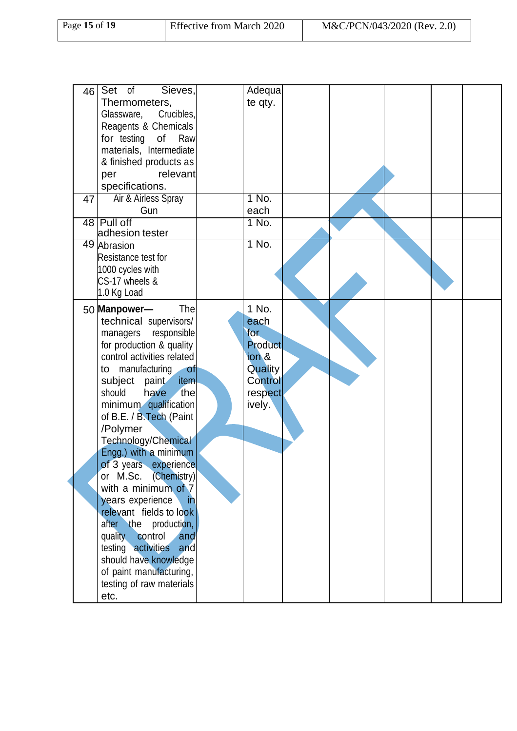| Page 15 of 19 | <b>Effective from March 2020</b> | M&C/PCN/043/2020 (Rev. 2.0) |
|---------------|----------------------------------|-----------------------------|
|               |                                  |                             |

| 46 | Sieves,<br>Set of                                   | Adequa           |  |  |  |
|----|-----------------------------------------------------|------------------|--|--|--|
|    | Thermometers,                                       | te qty.          |  |  |  |
|    | Crucibles,<br>Glassware,<br>Reagents & Chemicals    |                  |  |  |  |
|    | for testing<br>of<br>Raw                            |                  |  |  |  |
|    | materials, Intermediate                             |                  |  |  |  |
|    | & finished products as                              |                  |  |  |  |
|    | relevant<br>per                                     |                  |  |  |  |
|    | specifications.                                     |                  |  |  |  |
| 47 | Air & Airless Spray                                 | 1 No.            |  |  |  |
|    | Gun                                                 | each             |  |  |  |
|    | 48 Pull off<br>adhesion tester                      | 1 No.            |  |  |  |
|    | 49 Abrasion                                         | 1 No.            |  |  |  |
|    | Resistance test for                                 |                  |  |  |  |
|    | 1000 cycles with                                    |                  |  |  |  |
|    | CS-17 wheels &<br>1.0 Kg Load                       |                  |  |  |  |
|    | The<br>50 Manpower-                                 | 1 No.            |  |  |  |
|    | technical supervisors/                              | each             |  |  |  |
|    | managers<br>responsible                             | for              |  |  |  |
|    | for production & quality                            | <b>Product</b>   |  |  |  |
|    | control activities related                          | ion <sub>8</sub> |  |  |  |
|    | manufacturing<br><b>of</b><br>to                    | Quality          |  |  |  |
|    | subject paint<br>item                               | <b>Control</b>   |  |  |  |
|    | should<br>the<br>have                               | respect          |  |  |  |
|    | minimum qualification                               | ively.           |  |  |  |
|    | of B.E. / B.Tech (Paint<br>/Polymer                 |                  |  |  |  |
|    | Technology/Chemical                                 |                  |  |  |  |
|    | Engg.) with a minimum                               |                  |  |  |  |
|    | of 3 years experience                               |                  |  |  |  |
|    | or M.Sc. (Chemistry)                                |                  |  |  |  |
|    | with a minimum of 7                                 |                  |  |  |  |
|    | years experience<br>-in                             |                  |  |  |  |
|    | relevant fields to look                             |                  |  |  |  |
|    | after the production,                               |                  |  |  |  |
|    | quality control<br>and<br>testing activities<br>and |                  |  |  |  |
|    | should have knowledge                               |                  |  |  |  |
|    | of paint manufacturing,                             |                  |  |  |  |
|    | testing of raw materials                            |                  |  |  |  |
|    | etc.                                                |                  |  |  |  |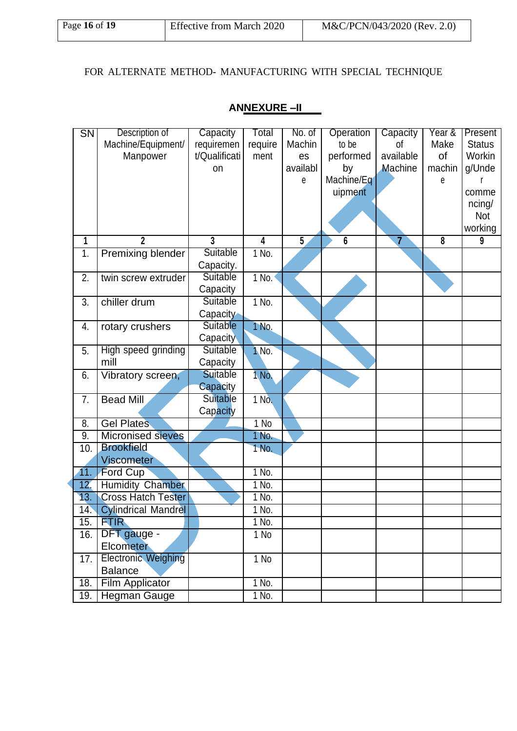### FOR ALTERNATE METHOD- MANUFACTURING WITH SPECIAL TECHNIQUE

| $\overline{\text{SN}}$ | Description of             | Capacity        | Total                   | No. of         | Operation  | Capacity       | Year &                  | Present       |  |
|------------------------|----------------------------|-----------------|-------------------------|----------------|------------|----------------|-------------------------|---------------|--|
|                        | Machine/Equipment/         | requiremen      | require                 | Machin         | to be      | οf             | Make                    | <b>Status</b> |  |
|                        | Manpower                   | t/Qualificati   | ment                    | es             | performed  | available      | 0f                      | Workin        |  |
|                        |                            | on              |                         | availabl       | by         | Machine        | machin                  | g/Unde        |  |
|                        |                            |                 |                         | е              | Machine/Eq |                | e                       |               |  |
|                        |                            |                 |                         |                | uipment    |                |                         | comme         |  |
|                        |                            |                 |                         |                |            |                |                         | ncing/        |  |
|                        |                            |                 |                         |                |            |                |                         | <b>Not</b>    |  |
|                        |                            |                 |                         |                |            |                |                         | working       |  |
| 1                      | $\overline{2}$             | 3               | $\overline{\mathbf{4}}$ | $\overline{5}$ | 6          | $\overline{7}$ | $\overline{\mathbf{8}}$ | 9             |  |
| $\overline{1}$ .       | Premixing blender          | <b>Suitable</b> | 1 No.                   |                |            |                |                         |               |  |
|                        |                            | Capacity.       |                         |                |            |                |                         |               |  |
| 2.                     | twin screw extruder        | Suitable        | $1$ No.                 |                |            |                |                         |               |  |
|                        |                            | Capacity        |                         |                |            |                |                         |               |  |
| 3.                     | chiller drum               | Suitable        | 1 No.                   |                |            |                |                         |               |  |
|                        |                            | Capacity        |                         |                |            |                |                         |               |  |
| 4.                     | rotary crushers            | <b>Suitable</b> | 1 No.                   |                |            |                |                         |               |  |
|                        |                            | Capacity        |                         |                |            |                |                         |               |  |
| 5.                     | High speed grinding        | Suitable        | 1 No.                   |                |            |                |                         |               |  |
|                        | mill                       | Capacity        |                         |                |            |                |                         |               |  |
| 6.                     | Vibratory screen,          | <b>Suitable</b> | 1 No.                   |                |            |                |                         |               |  |
|                        |                            | Capacity        |                         |                |            |                |                         |               |  |
| 7.                     | <b>Bead Mill</b>           | Suitable        | 1 No.                   |                |            |                |                         |               |  |
|                        |                            | Capacity        |                         |                |            |                |                         |               |  |
| 8.                     | <b>Gel Plates</b>          |                 | $1$ No                  |                |            |                |                         |               |  |
| $\overline{9}$ .       | <b>Micronised sieves</b>   |                 | 1 No.                   |                |            |                |                         |               |  |
| 10.                    | <b>Brookfield</b>          |                 | 1 No.                   |                |            |                |                         |               |  |
|                        | <b>Viscometer</b>          |                 |                         |                |            |                |                         |               |  |
| 11.                    | Ford Cup                   |                 | 1 No.                   |                |            |                |                         |               |  |
| 12.                    | <b>Humidity Chamber</b>    |                 | 1 No.                   |                |            |                |                         |               |  |
| 13.                    | <b>Cross Hatch Tester</b>  |                 | 1 No.                   |                |            |                |                         |               |  |
| 14.                    | <b>Cylindrical Mandrel</b> |                 | 1 No.                   |                |            |                |                         |               |  |
| 15.                    | <b>FTIR</b>                |                 | 1 No.                   |                |            |                |                         |               |  |
| 16.                    | DFT gauge -                |                 | 1 No                    |                |            |                |                         |               |  |
|                        | <b>Elcometer</b>           |                 |                         |                |            |                |                         |               |  |
| 17.                    | <b>Electronic Weighing</b> |                 | 1 No                    |                |            |                |                         |               |  |
|                        | <b>Balance</b>             |                 |                         |                |            |                |                         |               |  |
| 18.                    | <b>Film Applicator</b>     |                 | $1$ No.                 |                |            |                |                         |               |  |
| 19.                    | <b>Hegman Gauge</b>        |                 | 1 No.                   |                |            |                |                         |               |  |

### **ANNEXURE –II**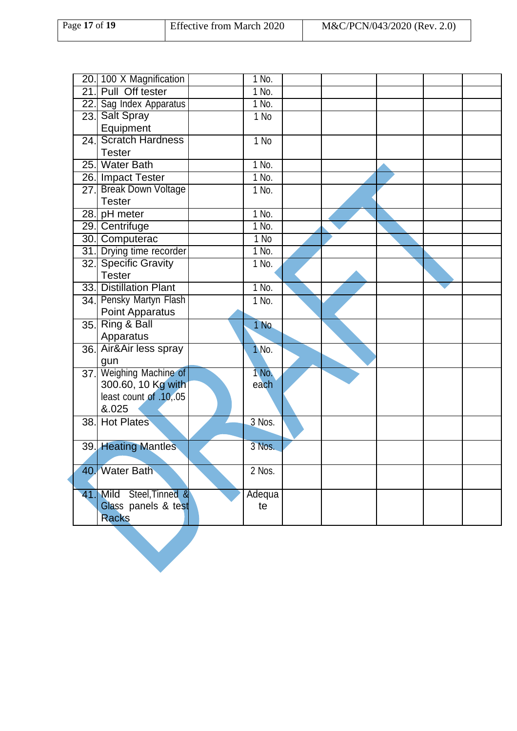| Page 17 of 19 | <b>Effective from March 2020</b> | M&C/PCN/043/2020 (Rev. 2.0) |  |
|---------------|----------------------------------|-----------------------------|--|
|               |                                  |                             |  |

|      | 20. 100 X Magnification   | 1 No.   |  |  |  |
|------|---------------------------|---------|--|--|--|
|      | 21. Pull Off tester       | 1 No.   |  |  |  |
|      | 22. Sag Index Apparatus   | 1 No.   |  |  |  |
|      | 23. Salt Spray            | 1 No    |  |  |  |
|      | Equipment                 |         |  |  |  |
|      | 24. Scratch Hardness      | 1 No    |  |  |  |
|      | <b>Tester</b>             |         |  |  |  |
|      | 25. Water Bath            | 1 No.   |  |  |  |
|      | 26. Impact Tester         | $1$ No. |  |  |  |
| 27.I | <b>Break Down Voltage</b> | 1 No.   |  |  |  |
|      | <b>Tester</b>             |         |  |  |  |
|      | 28. pH meter              | 1 No.   |  |  |  |
|      | 29. Centrifuge            | 1 No.   |  |  |  |
|      | 30. Computerac            | $1$ No  |  |  |  |
|      | 31. Drying time recorder  | 1 No.   |  |  |  |
|      | 32. Specific Gravity      | 1 No.   |  |  |  |
|      | <b>Tester</b>             |         |  |  |  |
|      | 33. Distillation Plant    | $1$ No. |  |  |  |
|      | 34. Pensky Martyn Flash   | 1 No.   |  |  |  |
|      | Point Apparatus           |         |  |  |  |
|      | 35. Ring & Ball           | 1 No.   |  |  |  |
|      | Apparatus                 |         |  |  |  |
|      | 36. Air&Air less spray    | 1 No.   |  |  |  |
|      | gun                       |         |  |  |  |
|      | 37. Weighing Machine of   | 1 No.   |  |  |  |
|      | 300.60, 10 Kg with        | each    |  |  |  |
|      | least count of .10,.05    |         |  |  |  |
|      | &.025                     |         |  |  |  |
|      | 38. Hot Plates            | 3 Nos.  |  |  |  |
|      |                           |         |  |  |  |
|      | 39. Heating Mantles       | 3 Nos.  |  |  |  |
|      |                           |         |  |  |  |
|      | 40. Water Bath            | 2 Nos.  |  |  |  |
|      |                           |         |  |  |  |
|      | 41. Mild Steel, Tinned &  | Adequa  |  |  |  |
|      | Glass panels & test       | te      |  |  |  |
|      | <b>Racks</b>              |         |  |  |  |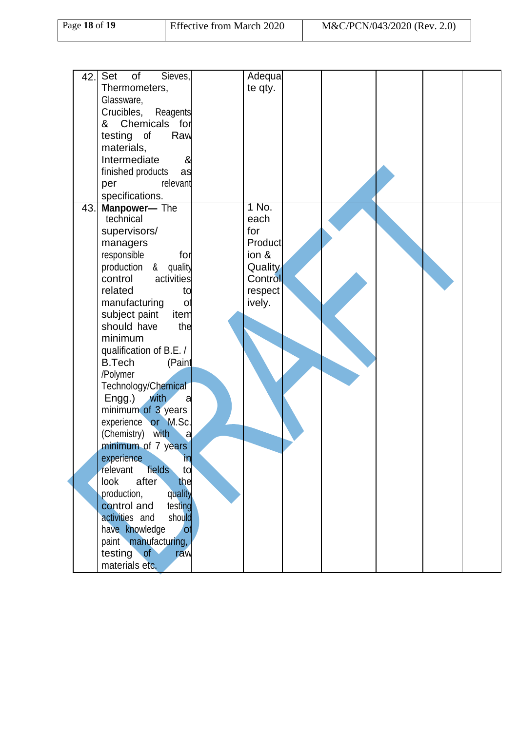| Page 18 of 19 | <b>Effective from March 2020</b> | M&C/PCN/043/2020 (Rev. 2.0) |
|---------------|----------------------------------|-----------------------------|
|               |                                  |                             |

| 42. | Sieves,<br>Set<br>of<br>Thermometers,<br>Glassware,<br>Reagents<br>Crucibles,<br>& Chemicals for<br>testing of<br>Raw<br>materials,<br>Intermediate<br>&<br>finished products<br>as<br>relevant<br>per<br>specifications.                                                                                                                                                                                                                                                                                                                                                                                                                                                                                             | Adequa<br>te qty.                                                                   |  |  |  |
|-----|-----------------------------------------------------------------------------------------------------------------------------------------------------------------------------------------------------------------------------------------------------------------------------------------------------------------------------------------------------------------------------------------------------------------------------------------------------------------------------------------------------------------------------------------------------------------------------------------------------------------------------------------------------------------------------------------------------------------------|-------------------------------------------------------------------------------------|--|--|--|
| 43. | Manpower- The<br>technical<br>supervisors/<br>managers<br>responsible<br>for<br>production &<br>quality<br>activities<br>control<br>related<br>to<br>manufacturing<br>$\circ$<br>subject paint<br>item<br>should have<br>the<br>minimum<br>qualification of B.E. /<br><b>B.Tech</b><br>(Paint<br>/Polymer<br>Technology/Chemical<br>Engg.)<br>with<br>a<br>minimum of 3 years<br>experience or M.Sc.<br>(Chemistry) with<br>√a<br>minimum of 7 years<br>experience<br>in<br>fields<br>relevant<br>td<br>after<br>the<br>look<br>production,<br>quality<br>testing<br>control and<br>should<br>activities and<br>have knowledge<br>$\mathsf{O}^\dagger$<br>paint manufacturing,<br>testing of<br>raw<br>materials etc. | 1 No.<br>each<br>for<br>Product<br>ion &<br>Quality<br>Control<br>respect<br>ively. |  |  |  |